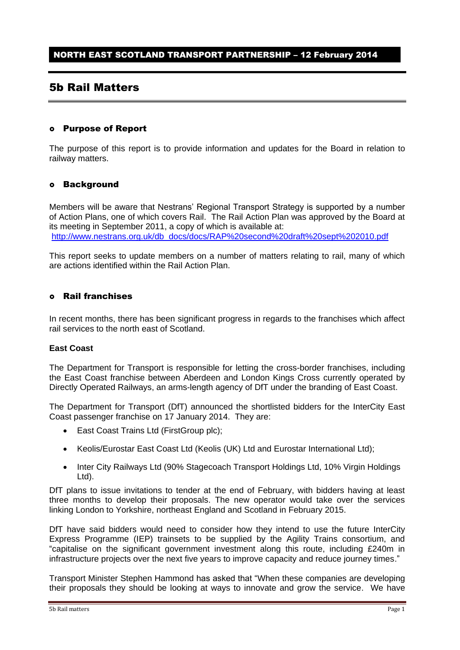# 5b Rail Matters

## Purpose of Report

The purpose of this report is to provide information and updates for the Board in relation to railway matters.

## Background

Members will be aware that Nestrans' Regional Transport Strategy is supported by a number of Action Plans, one of which covers Rail. The Rail Action Plan was approved by the Board at its meeting in September 2011, a copy of which is available at: [http://www.nestrans.org.uk/db\\_docs/docs/RAP%20second%20draft%20sept%202010.pdf](http://www.nestrans.org.uk/db_docs/docs/RAP%20second%20draft%20sept%202010.pdf)

This report seeks to update members on a number of matters relating to rail, many of which are actions identified within the Rail Action Plan.

## Rail franchises

In recent months, there has been significant progress in regards to the franchises which affect rail services to the north east of Scotland.

#### **East Coast**

The Department for Transport is responsible for letting the cross-border franchises, including the East Coast franchise between Aberdeen and London Kings Cross currently operated by Directly Operated Railways, an arms-length agency of DfT under the branding of East Coast.

The Department for Transport (DfT) announced the shortlisted bidders for the InterCity East Coast passenger franchise on 17 January 2014. They are:

- East Coast Trains Ltd (FirstGroup plc):
- Keolis/Eurostar East Coast Ltd (Keolis (UK) Ltd and Eurostar International Ltd);
- Inter City Railways Ltd (90% Stagecoach Transport Holdings Ltd, 10% Virgin Holdings Ltd).

DfT plans to issue invitations to tender at the end of February, with bidders having at least three months to develop their proposals. The new operator would take over the services linking London to Yorkshire, northeast England and Scotland in February 2015.

DfT have said bidders would need to consider how they intend to use the future InterCity Express Programme (IEP) trainsets to be supplied by the Agility Trains consortium, and "capitalise on the significant government investment along this route, including £240m in infrastructure projects over the next five years to improve capacity and reduce journey times."

Transport Minister Stephen Hammond has asked that "When these companies are developing their proposals they should be looking at ways to innovate and grow the service. We have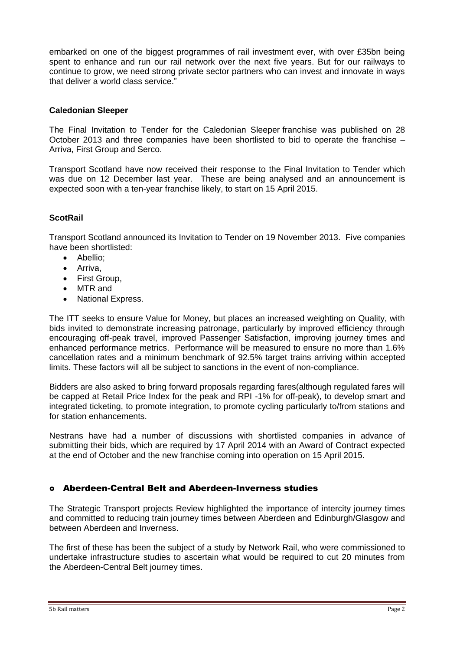embarked on one of the biggest programmes of rail investment ever, with over £35bn being spent to enhance and run our rail network over the next five years. But for our railways to continue to grow, we need strong private sector partners who can invest and innovate in ways that deliver a world class service."

## **Caledonian Sleeper**

The Final Invitation to Tender for the Caledonian Sleeper franchise was published on 28 October 2013 and three companies have been shortlisted to bid to operate the franchise – Arriva, First Group and Serco.

Transport Scotland have now received their response to the Final Invitation to Tender which was due on 12 December last year. These are being analysed and an announcement is expected soon with a ten-year franchise likely, to start on 15 April 2015.

## **ScotRail**

Transport Scotland announced its Invitation to Tender on 19 November 2013. Five companies have been shortlisted:

- Abellio:
- Arriva,
- First Group,
- MTR and
- National Express.

The ITT seeks to ensure Value for Money, but places an increased weighting on Quality, with bids invited to demonstrate increasing patronage, particularly by improved efficiency through encouraging off-peak travel, improved Passenger Satisfaction, improving journey times and enhanced performance metrics. Performance will be measured to ensure no more than 1.6% cancellation rates and a minimum benchmark of 92.5% target trains arriving within accepted limits. These factors will all be subject to sanctions in the event of non-compliance.

Bidders are also asked to bring forward proposals regarding fares(although regulated fares will be capped at Retail Price Index for the peak and RPI -1% for off-peak), to develop smart and integrated ticketing, to promote integration, to promote cycling particularly to/from stations and for station enhancements.

Nestrans have had a number of discussions with shortlisted companies in advance of submitting their bids, which are required by 17 April 2014 with an Award of Contract expected at the end of October and the new franchise coming into operation on 15 April 2015.

## Aberdeen-Central Belt and Aberdeen-Inverness studies

The Strategic Transport projects Review highlighted the importance of intercity journey times and committed to reducing train journey times between Aberdeen and Edinburgh/Glasgow and between Aberdeen and Inverness.

The first of these has been the subject of a study by Network Rail, who were commissioned to undertake infrastructure studies to ascertain what would be required to cut 20 minutes from the Aberdeen-Central Belt journey times.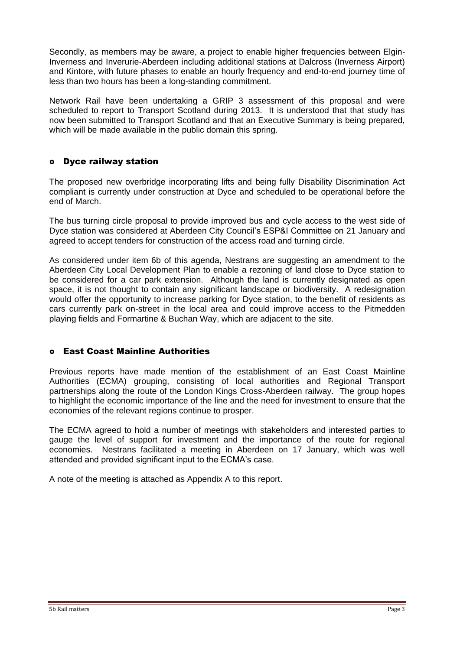Secondly, as members may be aware, a project to enable higher frequencies between Elgin-Inverness and Inverurie-Aberdeen including additional stations at Dalcross (Inverness Airport) and Kintore, with future phases to enable an hourly frequency and end-to-end journey time of less than two hours has been a long-standing commitment.

Network Rail have been undertaking a GRIP 3 assessment of this proposal and were scheduled to report to Transport Scotland during 2013. It is understood that that study has now been submitted to Transport Scotland and that an Executive Summary is being prepared, which will be made available in the public domain this spring.

## Dyce railway station

The proposed new overbridge incorporating lifts and being fully Disability Discrimination Act compliant is currently under construction at Dyce and scheduled to be operational before the end of March.

The bus turning circle proposal to provide improved bus and cycle access to the west side of Dyce station was considered at Aberdeen City Council's ESP&I Committee on 21 January and agreed to accept tenders for construction of the access road and turning circle.

As considered under item 6b of this agenda, Nestrans are suggesting an amendment to the Aberdeen City Local Development Plan to enable a rezoning of land close to Dyce station to be considered for a car park extension. Although the land is currently designated as open space, it is not thought to contain any significant landscape or biodiversity. A redesignation would offer the opportunity to increase parking for Dyce station, to the benefit of residents as cars currently park on-street in the local area and could improve access to the Pitmedden playing fields and Formartine & Buchan Way, which are adjacent to the site.

## East Coast Mainline Authorities

Previous reports have made mention of the establishment of an East Coast Mainline Authorities (ECMA) grouping, consisting of local authorities and Regional Transport partnerships along the route of the London Kings Cross-Aberdeen railway. The group hopes to highlight the economic importance of the line and the need for investment to ensure that the economies of the relevant regions continue to prosper.

The ECMA agreed to hold a number of meetings with stakeholders and interested parties to gauge the level of support for investment and the importance of the route for regional economies. Nestrans facilitated a meeting in Aberdeen on 17 January, which was well attended and provided significant input to the ECMA's case.

A note of the meeting is attached as Appendix A to this report.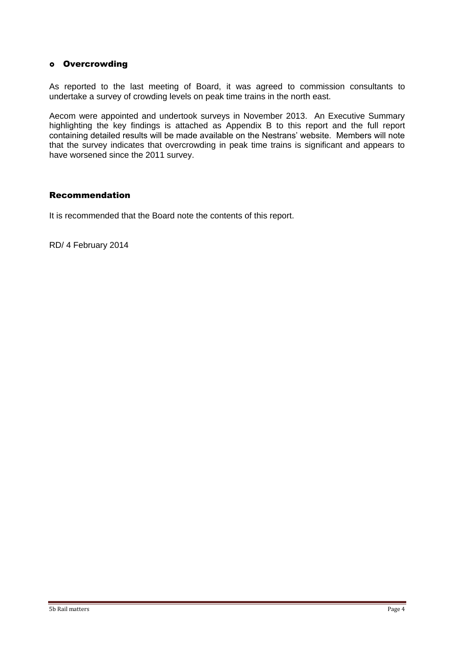## o Overcrowding

As reported to the last meeting of Board, it was agreed to commission consultants to undertake a survey of crowding levels on peak time trains in the north east.

Aecom were appointed and undertook surveys in November 2013. An Executive Summary highlighting the key findings is attached as Appendix B to this report and the full report containing detailed results will be made available on the Nestrans' website. Members will note that the survey indicates that overcrowding in peak time trains is significant and appears to have worsened since the 2011 survey.

## Recommendation

It is recommended that the Board note the contents of this report.

RD/ 4 February 2014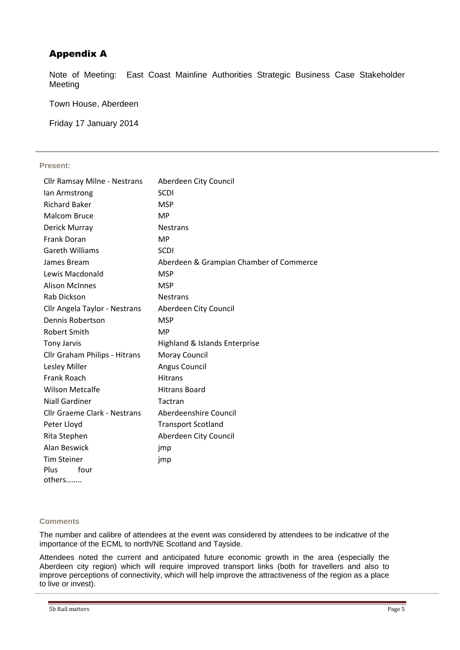## Appendix A

Note of Meeting: East Coast Mainline Authorities Strategic Business Case Stakeholder Meeting

Town House, Aberdeen

Friday 17 January 2014

#### **Present:**

| <b>Cllr Ramsay Milne - Nestrans</b> | Aberdeen City Council                   |
|-------------------------------------|-----------------------------------------|
| lan Armstrong                       | <b>SCDI</b>                             |
| <b>Richard Baker</b>                | <b>MSP</b>                              |
| <b>Malcom Bruce</b>                 | <b>MP</b>                               |
| Derick Murray                       | <b>Nestrans</b>                         |
| <b>Frank Doran</b>                  | <b>MP</b>                               |
| <b>Gareth Williams</b>              | <b>SCDI</b>                             |
| James Bream                         | Aberdeen & Grampian Chamber of Commerce |
| Lewis Macdonald                     | <b>MSP</b>                              |
| <b>Alison McInnes</b>               | <b>MSP</b>                              |
| Rab Dickson                         | <b>Nestrans</b>                         |
| Cllr Angela Taylor - Nestrans       | Aberdeen City Council                   |
| Dennis Robertson                    | <b>MSP</b>                              |
| <b>Robert Smith</b>                 | MP                                      |
| <b>Tony Jarvis</b>                  | Highland & Islands Enterprise           |
| Cllr Graham Philips - Hitrans       | Moray Council                           |
| Lesley Miller                       | Angus Council                           |
| Frank Roach                         | <b>Hitrans</b>                          |
| <b>Wilson Metcalfe</b>              | <b>Hitrans Board</b>                    |
| <b>Niall Gardiner</b>               | Tactran                                 |
| <b>Cllr Graeme Clark - Nestrans</b> | Aberdeenshire Council                   |
| Peter Lloyd                         | <b>Transport Scotland</b>               |
| Rita Stephen                        | Aberdeen City Council                   |
| Alan Beswick                        | jmp                                     |
| <b>Tim Steiner</b>                  | jmp                                     |
| Plus<br>four                        |                                         |
| others                              |                                         |

#### **Comments**

The number and calibre of attendees at the event was considered by attendees to be indicative of the importance of the ECML to north/NE Scotland and Tayside.

Attendees noted the current and anticipated future economic growth in the area (especially the Aberdeen city region) which will require improved transport links (both for travellers and also to improve perceptions of connectivity, which will help improve the attractiveness of the region as a place to live or invest).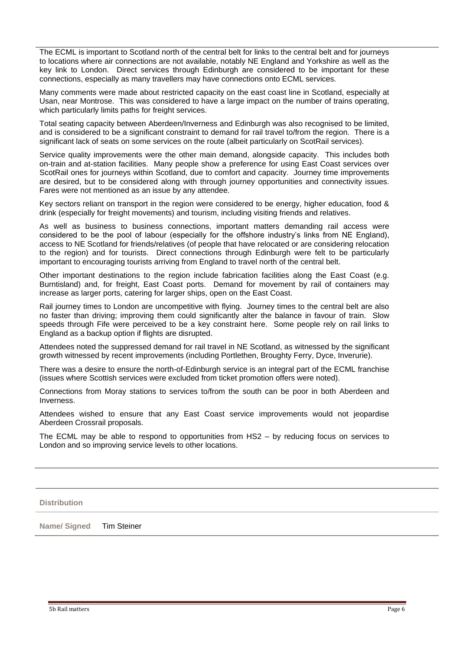The ECML is important to Scotland north of the central belt for links to the central belt and for journeys to locations where air connections are not available, notably NE England and Yorkshire as well as the key link to London. Direct services through Edinburgh are considered to be important for these connections, especially as many travellers may have connections onto ECML services.

Many comments were made about restricted capacity on the east coast line in Scotland, especially at Usan, near Montrose. This was considered to have a large impact on the number of trains operating, which particularly limits paths for freight services.

Total seating capacity between Aberdeen/Inverness and Edinburgh was also recognised to be limited, and is considered to be a significant constraint to demand for rail travel to/from the region. There is a significant lack of seats on some services on the route (albeit particularly on ScotRail services).

Service quality improvements were the other main demand, alongside capacity. This includes both on-train and at-station facilities. Many people show a preference for using East Coast services over ScotRail ones for journeys within Scotland, due to comfort and capacity. Journey time improvements are desired, but to be considered along with through journey opportunities and connectivity issues. Fares were not mentioned as an issue by any attendee.

Key sectors reliant on transport in the region were considered to be energy, higher education, food & drink (especially for freight movements) and tourism, including visiting friends and relatives.

As well as business to business connections, important matters demanding rail access were considered to be the pool of labour (especially for the offshore industry's links from NE England), access to NE Scotland for friends/relatives (of people that have relocated or are considering relocation to the region) and for tourists. Direct connections through Edinburgh were felt to be particularly important to encouraging tourists arriving from England to travel north of the central belt.

Other important destinations to the region include fabrication facilities along the East Coast (e.g. Burntisland) and, for freight, East Coast ports. Demand for movement by rail of containers may increase as larger ports, catering for larger ships, open on the East Coast.

Rail journey times to London are uncompetitive with flying. Journey times to the central belt are also no faster than driving; improving them could significantly alter the balance in favour of train. Slow speeds through Fife were perceived to be a key constraint here. Some people rely on rail links to England as a backup option if flights are disrupted.

Attendees noted the suppressed demand for rail travel in NE Scotland, as witnessed by the significant growth witnessed by recent improvements (including Portlethen, Broughty Ferry, Dyce, Inverurie).

There was a desire to ensure the north-of-Edinburgh service is an integral part of the ECML franchise (issues where Scottish services were excluded from ticket promotion offers were noted).

Connections from Moray stations to services to/from the south can be poor in both Aberdeen and Inverness.

Attendees wished to ensure that any East Coast service improvements would not jeopardise Aberdeen Crossrail proposals.

The ECML may be able to respond to opportunities from HS2 – by reducing focus on services to London and so improving service levels to other locations.

**Distribution**

**Name/ Signed** Tim Steiner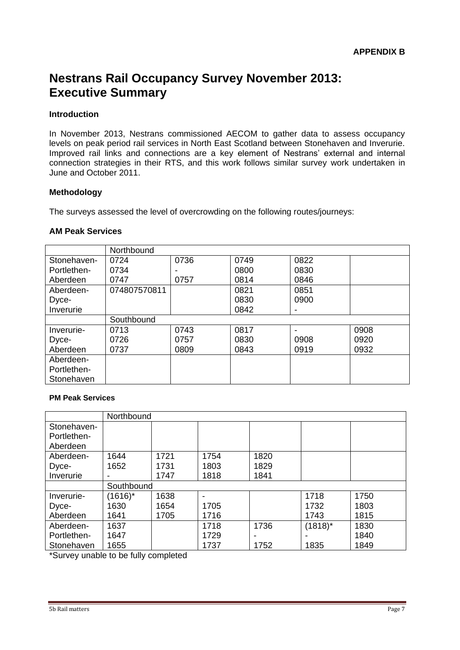# **Nestrans Rail Occupancy Survey November 2013: Executive Summary**

## **Introduction**

In November 2013, Nestrans commissioned AECOM to gather data to assess occupancy levels on peak period rail services in North East Scotland between Stonehaven and Inverurie. Improved rail links and connections are a key element of Nestrans' external and internal connection strategies in their RTS, and this work follows similar survey work undertaken in June and October 2011.

## **Methodology**

The surveys assessed the level of overcrowding on the following routes/journeys:

## **AM Peak Services**

|             | Northbound   |      |      |      |      |  |  |
|-------------|--------------|------|------|------|------|--|--|
| Stonehaven- | 0724         | 0736 | 0749 | 0822 |      |  |  |
| Portlethen- | 0734         |      | 0800 | 0830 |      |  |  |
| Aberdeen    | 0747         | 0757 | 0814 | 0846 |      |  |  |
| Aberdeen-   | 074807570811 |      | 0821 | 0851 |      |  |  |
| Dyce-       |              |      | 0830 | 0900 |      |  |  |
| Inverurie   |              |      | 0842 |      |      |  |  |
|             | Southbound   |      |      |      |      |  |  |
| Inverurie-  | 0713         | 0743 | 0817 |      | 0908 |  |  |
| Dyce-       | 0726         | 0757 | 0830 | 0908 | 0920 |  |  |
| Aberdeen    | 0737         | 0809 | 0843 | 0919 | 0932 |  |  |
| Aberdeen-   |              |      |      |      |      |  |  |
| Portlethen- |              |      |      |      |      |  |  |
| Stonehaven  |              |      |      |      |      |  |  |

#### **PM Peak Services**

|             | Northbound |      |      |                |            |      |  |  |
|-------------|------------|------|------|----------------|------------|------|--|--|
| Stonehaven- |            |      |      |                |            |      |  |  |
| Portlethen- |            |      |      |                |            |      |  |  |
| Aberdeen    |            |      |      |                |            |      |  |  |
| Aberdeen-   | 1644       | 1721 | 1754 | 1820           |            |      |  |  |
| Dyce-       | 1652       | 1731 | 1803 | 1829           |            |      |  |  |
| Inverurie   |            | 1747 | 1818 | 1841           |            |      |  |  |
|             | Southbound |      |      |                |            |      |  |  |
| Inverurie-  | (1616)*    | 1638 |      |                | 1718       | 1750 |  |  |
| Dyce-       | 1630       | 1654 | 1705 |                | 1732       | 1803 |  |  |
| Aberdeen    | 1641       | 1705 | 1716 |                | 1743       | 1815 |  |  |
| Aberdeen-   | 1637       |      | 1718 | 1736           | $(1818)^*$ | 1830 |  |  |
| Portlethen- | 1647       |      | 1729 | $\blacksquare$ |            | 1840 |  |  |
| Stonehaven  | 1655       |      | 1737 | 1752           | 1835       | 1849 |  |  |

\*Survey unable to be fully completed